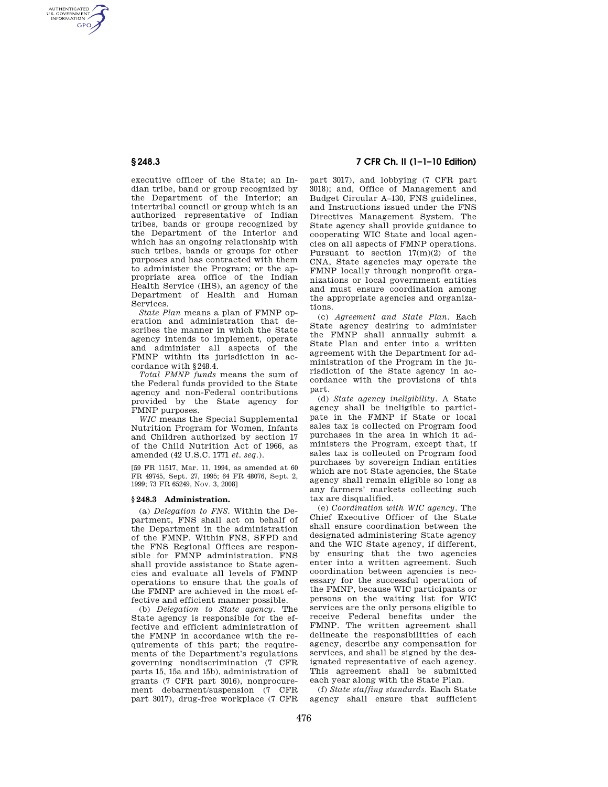AUTHENTICATED<br>U.S. GOVERNMENT<br>INFORMATION **GPO** 

> executive officer of the State; an Indian tribe, band or group recognized by the Department of the Interior; an intertribal council or group which is an authorized representative of Indian tribes, bands or groups recognized by the Department of the Interior and which has an ongoing relationship with such tribes, bands or groups for other purposes and has contracted with them to administer the Program; or the appropriate area office of the Indian Health Service (IHS), an agency of the Department of Health and Human **Services**

> *State Plan* means a plan of FMNP operation and administration that describes the manner in which the State agency intends to implement, operate and administer all aspects of the FMNP within its jurisdiction in accordance with §248.4.

> *Total FMNP funds* means the sum of the Federal funds provided to the State agency and non-Federal contributions provided by the State agency for FMNP purposes.

> *WIC* means the Special Supplemental Nutrition Program for Women, Infants and Children authorized by section 17 of the Child Nutrition Act of 1966, as amended (42 U.S.C. 1771 *et. seq.*).

> [59 FR 11517, Mar. 11, 1994, as amended at 60 FR 49745, Sept. 27, 1995; 64 FR 48076, Sept. 2, 1999; 73 FR 65249, Nov. 3, 2008]

#### **§ 248.3 Administration.**

(a) *Delegation to FNS.* Within the Department, FNS shall act on behalf of the Department in the administration of the FMNP. Within FNS, SFPD and the FNS Regional Offices are responsible for FMNP administration. FNS shall provide assistance to State agencies and evaluate all levels of FMNP operations to ensure that the goals of the FMNP are achieved in the most effective and efficient manner possible.

(b) *Delegation to State agency.* The State agency is responsible for the effective and efficient administration of the FMNP in accordance with the requirements of this part; the requirements of the Department's regulations governing nondiscrimination (7 CFR parts 15, 15a and 15b), administration of grants (7 CFR part 3016), nonprocurement debarment/suspension (7 CFR part 3017), drug-free workplace (7 CFR

# **§ 248.3 7 CFR Ch. II (1–1–10 Edition)**

part 3017), and lobbying (7 CFR part 3018); and, Office of Management and Budget Circular A–130, FNS guidelines, and Instructions issued under the FNS Directives Management System. The State agency shall provide guidance to cooperating WIC State and local agencies on all aspects of FMNP operations. Pursuant to section 17(m)(2) of the CNA, State agencies may operate the FMNP locally through nonprofit organizations or local government entities and must ensure coordination among the appropriate agencies and organizations.

(c) *Agreement and State Plan.* Each State agency desiring to administer the FMNP shall annually submit a State Plan and enter into a written agreement with the Department for administration of the Program in the jurisdiction of the State agency in accordance with the provisions of this part.

(d) *State agency ineligibility.* A State agency shall be ineligible to participate in the FMNP if State or local sales tax is collected on Program food purchases in the area in which it administers the Program, except that, if sales tax is collected on Program food purchases by sovereign Indian entities which are not State agencies, the State agency shall remain eligible so long as any farmers' markets collecting such tax are disqualified.

(e) *Coordination with WIC agency.* The Chief Executive Officer of the State shall ensure coordination between the designated administering State agency and the WIC State agency, if different, by ensuring that the two agencies enter into a written agreement. Such coordination between agencies is necessary for the successful operation of the FMNP, because WIC participants or persons on the waiting list for WIC services are the only persons eligible to receive Federal benefits under the FMNP. The written agreement shall delineate the responsibilities of each agency, describe any compensation for services, and shall be signed by the designated representative of each agency. This agreement shall be submitted each year along with the State Plan.

(f) *State staffing standards.* Each State agency shall ensure that sufficient